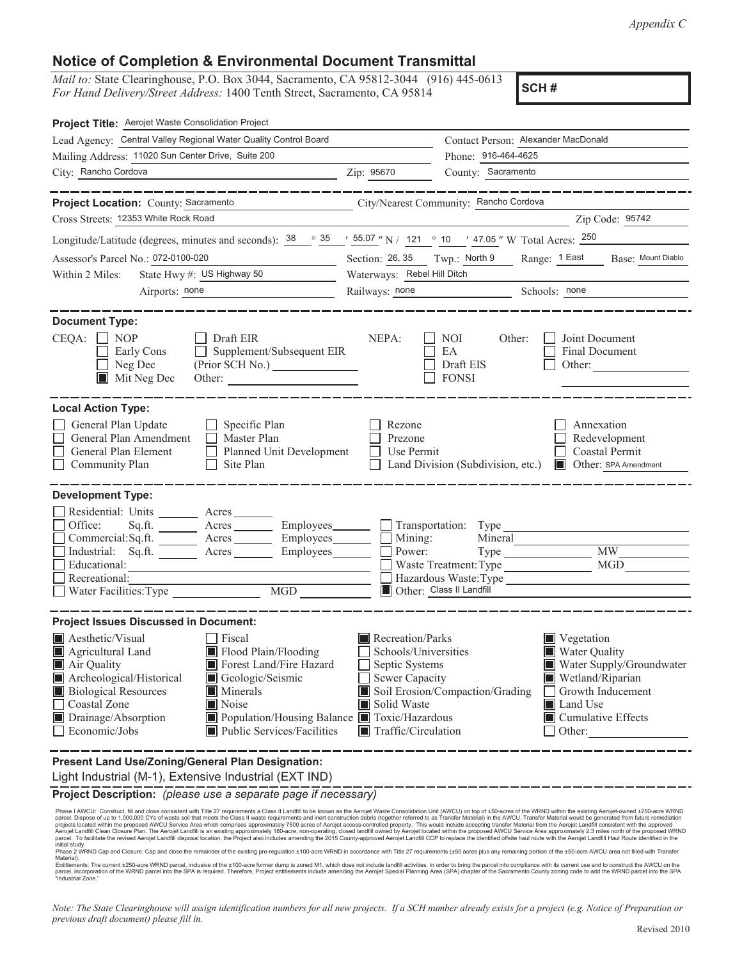*Appendix C*

## **Notice of Completion & Environmental Document Transmittal**

*Mail to:* State Clearinghouse, P.O. Box 3044, Sacramento, CA 95812-3044 (916) 445-0613 *For Hand Delivery/Street Address:* 1400 Tenth Street, Sacramento, CA 95814

**SCH #**

| Project Title: Aerojet Waste Consolidation Project                                                                                                                                                                                                                                                                                                                                    |                                                                                                                                                                                                                                                                                                                                                            |  |  |
|---------------------------------------------------------------------------------------------------------------------------------------------------------------------------------------------------------------------------------------------------------------------------------------------------------------------------------------------------------------------------------------|------------------------------------------------------------------------------------------------------------------------------------------------------------------------------------------------------------------------------------------------------------------------------------------------------------------------------------------------------------|--|--|
| Lead Agency: Central Valley Regional Water Quality Control Board                                                                                                                                                                                                                                                                                                                      | Contact Person: Alexander MacDonald                                                                                                                                                                                                                                                                                                                        |  |  |
| Mailing Address: 11020 Sun Center Drive, Suite 200                                                                                                                                                                                                                                                                                                                                    | Phone: 916-464-4625                                                                                                                                                                                                                                                                                                                                        |  |  |
| City: Rancho Cordova                                                                                                                                                                                                                                                                                                                                                                  | County: Sacramento<br>Zip: 95670                                                                                                                                                                                                                                                                                                                           |  |  |
|                                                                                                                                                                                                                                                                                                                                                                                       |                                                                                                                                                                                                                                                                                                                                                            |  |  |
| <b>Project Location: County: Sacramento</b>                                                                                                                                                                                                                                                                                                                                           | City/Nearest Community: Rancho Cordova                                                                                                                                                                                                                                                                                                                     |  |  |
| Cross Streets: 12353 White Rock Road                                                                                                                                                                                                                                                                                                                                                  | Zip Code: 95742                                                                                                                                                                                                                                                                                                                                            |  |  |
| Longitude/Latitude (degrees, minutes and seconds): $\frac{38}{100}$ $\frac{35}{100}$ $\frac{1}{100}$ $\frac{55.07}{100}$ $\frac{1}{100}$ $\frac{1}{100}$ $\frac{47.05}{100}$ $\frac{1}{100}$ Acres: $\frac{250}{100}$                                                                                                                                                                 |                                                                                                                                                                                                                                                                                                                                                            |  |  |
| Assessor's Parcel No.: 072-0100-020                                                                                                                                                                                                                                                                                                                                                   | Section: 26, 35 Twp.: North 9 Range: 1 East<br>Base: Mount Diablo                                                                                                                                                                                                                                                                                          |  |  |
| State Hwy #: US Highway 50<br>Within 2 Miles:                                                                                                                                                                                                                                                                                                                                         | Waterways: Rebel Hill Ditch                                                                                                                                                                                                                                                                                                                                |  |  |
| Airports: none                                                                                                                                                                                                                                                                                                                                                                        | Railways: none<br>Schools: none                                                                                                                                                                                                                                                                                                                            |  |  |
| <b>Document Type:</b><br>$CEQA: \Box NP$<br>Draft EIR<br>Supplement/Subsequent EIR<br>Early Cons<br>Neg Dec<br>$\blacksquare$ Mit Neg Dec<br>Other:                                                                                                                                                                                                                                   | NEPA:<br>NOI<br>Joint Document<br>Other:<br><b>Final Document</b><br>EA<br>Draft EIS<br>Other:<br><b>FONSI</b>                                                                                                                                                                                                                                             |  |  |
| <b>Local Action Type:</b><br>General Plan Update<br>Specific Plan<br>Master Plan<br>General Plan Amendment<br>$\mathsf{L}$<br>Planned Unit Development<br>General Plan Element<br>Site Plan<br>Community Plan                                                                                                                                                                         | Rezone<br>Annexation<br>Prezone<br>Redevelopment<br>Coastal Permit<br>Use Permit<br>Other: SPA Amendment<br>Land Division (Subdivision, etc.)                                                                                                                                                                                                              |  |  |
| <b>Development Type:</b><br>Residential: Units<br>Acres<br>Office:<br>Sq.ft.<br>Acres Employees<br>Commercial:Sq.ft. ________ Acres _______<br>Employees_____<br>Industrial: Sq.ft. _______ Acres<br>Employees                                                                                                                                                                        | $\Box$ Transportation: Type<br>Mining:<br>Mineral<br>$M\overline{W}$<br>Power:<br>$Type \_\_$                                                                                                                                                                                                                                                              |  |  |
| Educational:                                                                                                                                                                                                                                                                                                                                                                          | <b>MGD</b><br>Waste Treatment: Type                                                                                                                                                                                                                                                                                                                        |  |  |
| Recreational:<br>Water Facilities: Type<br>MGD                                                                                                                                                                                                                                                                                                                                        | Hazardous Waste:Type<br>Other: Class II Landfill                                                                                                                                                                                                                                                                                                           |  |  |
|                                                                                                                                                                                                                                                                                                                                                                                       |                                                                                                                                                                                                                                                                                                                                                            |  |  |
| <b>Project Issues Discussed in Document:</b>                                                                                                                                                                                                                                                                                                                                          |                                                                                                                                                                                                                                                                                                                                                            |  |  |
| Aesthetic/Visual<br>  Fiscal<br>Flood Plain/Flooding<br>Agricultural Land<br>Air Quality<br>Forest Land/Fire Hazard<br>Archeological/Historical<br>Geologic/Seismic<br><b>Biological Resources</b><br><b>Minerals</b><br>Coastal Zone<br>Noise<br>Drainage/Absorption<br>■ Population/Housing Balance ■ Toxic/Hazardous<br>$\blacksquare$ Public Services/Facilities<br>Economic/Jobs | Recreation/Parks<br>$\blacksquare$ Vegetation<br><b>Water Quality</b><br>Schools/Universities<br>Water Supply/Groundwater<br>Septic Systems<br>Sewer Capacity<br>Wetland/Riparian<br>Soil Erosion/Compaction/Grading<br>Growth Inducement<br>Solid Waste<br><b>Land Use</b><br>■ Cumulative Effects<br>$\blacksquare$ Traffic/Circulation<br>$\Box$ Other: |  |  |
| Present Land Use/Zoning/General Plan Designation:<br>Light Industrial (M-1), Extensive Industrial (EXT IND)                                                                                                                                                                                                                                                                           |                                                                                                                                                                                                                                                                                                                                                            |  |  |

**Project Description:** *(please use a separate page if necessary)*

Phase I AWCU: Construct, fill and close consistent with Title 27 requirements a Class II Landfill to be known as the Aerojet Waste Consolidation Unit (AWCU) on top of ±50-acres of the WRND within the existing Aerojet-owned initial study.<br>Phase 2 WRND Cap and Closure: Cap and close the remainder of the existing pre-regulation ±100-acre WRND in accordance with Title 27 requirements (±50 acres plus any remaining portion of the ±50-acre AWCU are

Material).<br>Entitlements: The current ±250-acre WRND parcel, inclusive of the ±100-acre former dump is zoned M1, which does not include landfill activities. In order to bring the parcel into compliance with its current use

*Note: The State Clearinghouse will assign identification numbers for all new projects. If a SCH number already exists for a project (e.g. Notice of Preparation or previous draft document) please fill in.*